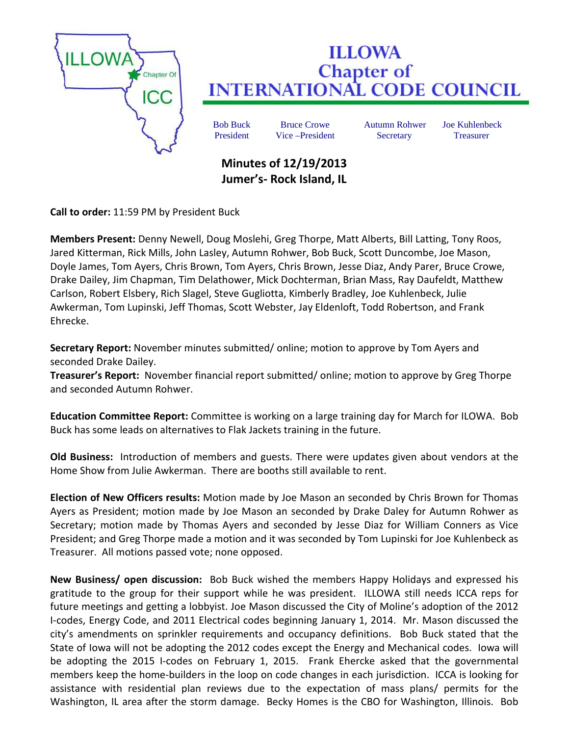

## **ILLOWA Chapter of<br>INTERNATIONAL CODE COUNCIL**

Bob Buck Bruce Crowe Autumn Rohwer Joe Kuhlenbeck President Vice –President Secretary Treasurer

## **Minutes of 12/19/2013 Jumer's- Rock Island, IL**

**Call to order:** 11:59 PM by President Buck

**Members Present:** Denny Newell, Doug Moslehi, Greg Thorpe, Matt Alberts, Bill Latting, Tony Roos, Jared Kitterman, Rick Mills, John Lasley, Autumn Rohwer, Bob Buck, Scott Duncombe, Joe Mason, Doyle James, Tom Ayers, Chris Brown, Tom Ayers, Chris Brown, Jesse Diaz, Andy Parer, Bruce Crowe, Drake Dailey, Jim Chapman, Tim Delathower, Mick Dochterman, Brian Mass, Ray Daufeldt, Matthew Carlson, Robert Elsbery, Rich Slagel, Steve Gugliotta, Kimberly Bradley, Joe Kuhlenbeck, Julie Awkerman, Tom Lupinski, Jeff Thomas, Scott Webster, Jay Eldenloft, Todd Robertson, and Frank Ehrecke.

**Secretary Report:** November minutes submitted/ online; motion to approve by Tom Ayers and seconded Drake Dailey.

**Treasurer's Report:** November financial report submitted/ online; motion to approve by Greg Thorpe and seconded Autumn Rohwer.

**Education Committee Report:** Committee is working on a large training day for March for ILOWA. Bob Buck has some leads on alternatives to Flak Jackets training in the future.

**Old Business:** Introduction of members and guests. There were updates given about vendors at the Home Show from Julie Awkerman. There are booths still available to rent.

**Election of New Officers results:** Motion made by Joe Mason an seconded by Chris Brown for Thomas Ayers as President; motion made by Joe Mason an seconded by Drake Daley for Autumn Rohwer as Secretary; motion made by Thomas Ayers and seconded by Jesse Diaz for William Conners as Vice President; and Greg Thorpe made a motion and it was seconded by Tom Lupinski for Joe Kuhlenbeck as Treasurer. All motions passed vote; none opposed.

**New Business/ open discussion:** Bob Buck wished the members Happy Holidays and expressed his gratitude to the group for their support while he was president. ILLOWA still needs ICCA reps for future meetings and getting a lobbyist. Joe Mason discussed the City of Moline's adoption of the 2012 I-codes, Energy Code, and 2011 Electrical codes beginning January 1, 2014. Mr. Mason discussed the city's amendments on sprinkler requirements and occupancy definitions. Bob Buck stated that the State of Iowa will not be adopting the 2012 codes except the Energy and Mechanical codes. Iowa will be adopting the 2015 I-codes on February 1, 2015. Frank Ehercke asked that the governmental members keep the home-builders in the loop on code changes in each jurisdiction. ICCA is looking for assistance with residential plan reviews due to the expectation of mass plans/ permits for the Washington, IL area after the storm damage. Becky Homes is the CBO for Washington, Illinois. Bob